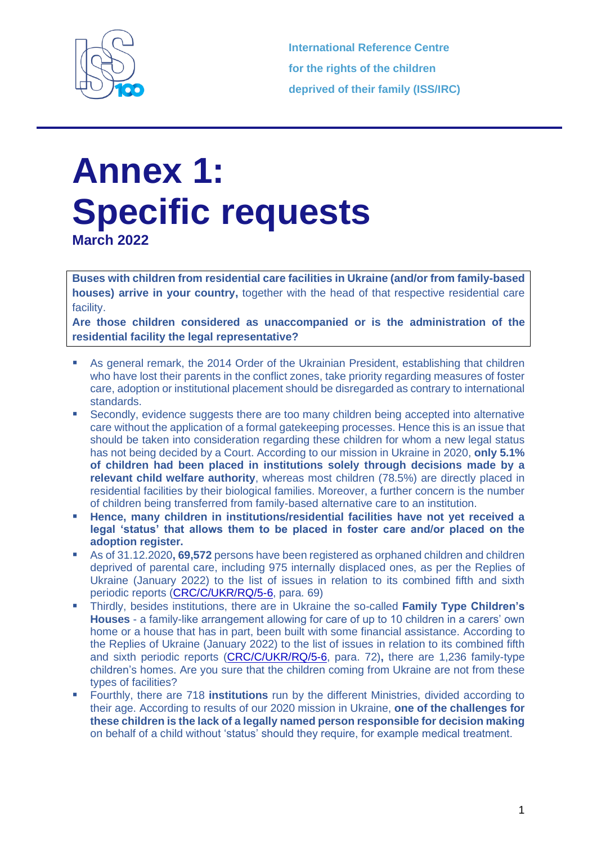

**International Reference Centre for the rights of the children deprived of their family (ISS/IRC)**

## **Annex 1: Specific requests March 2022**

**Buses with children from residential care facilities in Ukraine (and/or from family-based houses) arrive in your country,** together with the head of that respective residential care facility.

**Are those children considered as unaccompanied or is the administration of the residential facility the legal representative?**

- As general remark, the 2014 Order of the Ukrainian President, establishing that children who have lost their parents in the conflict zones, take priority regarding measures of foster care, adoption or institutional placement should be disregarded as contrary to international standards.
- Secondly, evidence suggests there are too many children being accepted into alternative care without the application of a formal gatekeeping processes. Hence this is an issue that should be taken into consideration regarding these children for whom a new legal status has not being decided by a Court. According to our mission in Ukraine in 2020, **only 5.1% of children had been placed in institutions solely through decisions made by a relevant child welfare authority**, whereas most children (78.5%) are directly placed in residential facilities by their biological families. Moreover, a further concern is the number of children being transferred from family-based alternative care to an institution.
- Hence, many children in institutions/residential facilities have not yet received a **legal 'status' that allows them to be placed in foster care and/or placed on the adoption register.**
- As of 31.12.2020**, 69,572** persons have been registered as orphaned children and children deprived of parental care, including 975 internally displaced ones, as per the Replies of Ukraine (January 2022) to the list of issues in relation to its combined fifth and sixth periodic reports [\(CRC/C/UKR/RQ/5-6,](https://tbinternet.ohchr.org/_layouts/15/treatybodyexternal/Download.aspx?symbolno=CRC%2fC%2fUKR%2fRQ%2f5-6&Lang=en) para. 69)
- Thirdly, besides institutions, there are in Ukraine the so-called **Family Type Children's Houses** - a family-like arrangement allowing for care of up to 10 children in a carers' own home or a house that has in part, been built with some financial assistance. According to the Replies of Ukraine (January 2022) to the list of issues in relation to its combined fifth and sixth periodic reports [\(CRC/C/UKR/RQ/5-6,](https://tbinternet.ohchr.org/_layouts/15/treatybodyexternal/Download.aspx?symbolno=CRC%2fC%2fUKR%2fRQ%2f5-6&Lang=en) para. 72)**,** there are 1,236 family-type children's homes. Are you sure that the children coming from Ukraine are not from these types of facilities?
- Fourthly, there are 718 **institutions** run by the different Ministries, divided according to their age. According to results of our 2020 mission in Ukraine, **one of the challenges for these children is the lack of a legally named person responsible for decision making** on behalf of a child without 'status' should they require, for example medical treatment.